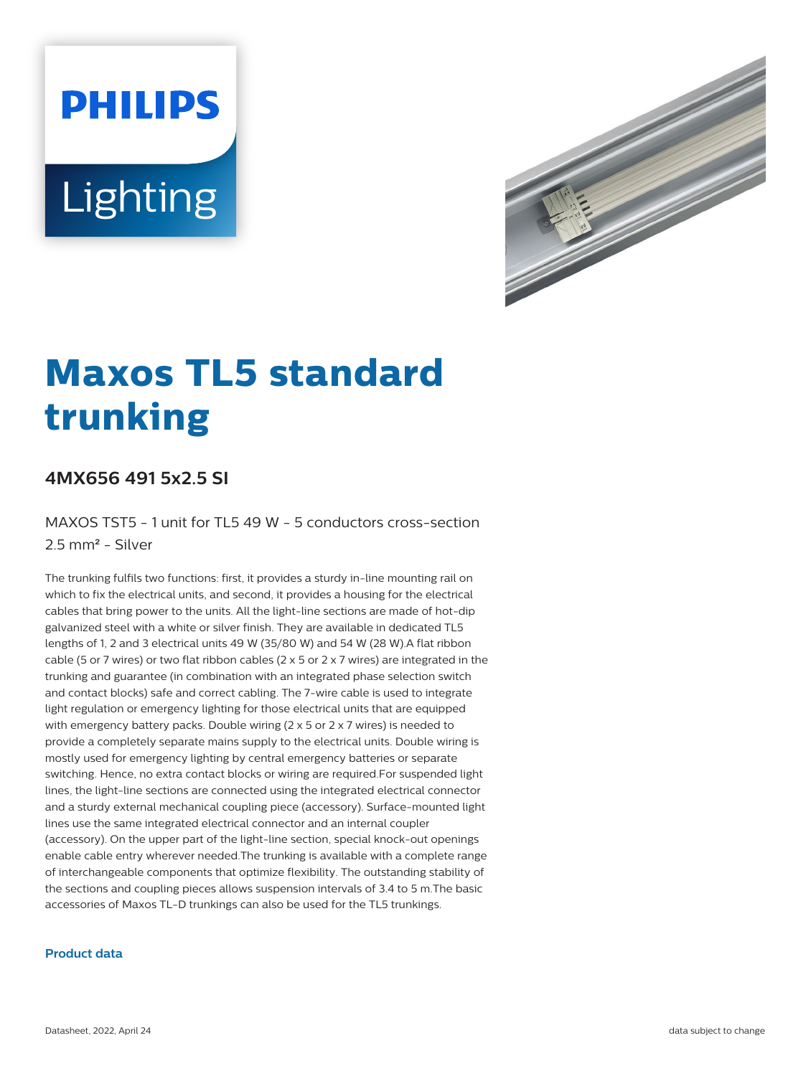# **PHILIPS** Lighting



# **Maxos TL5 standard trunking**

## **4MX656 491 5x2.5 SI**

MAXOS TST5 - 1 unit for TL5 49 W - 5 conductors cross-section 2.5 mm² - Silver

The trunking fulfils two functions: first, it provides a sturdy in-line mounting rail on which to fix the electrical units, and second, it provides a housing for the electrical cables that bring power to the units. All the light-line sections are made of hot-dip galvanized steel with a white or silver finish. They are available in dedicated TL5 lengths of 1, 2 and 3 electrical units 49 W (35/80 W) and 54 W (28 W).A flat ribbon cable (5 or 7 wires) or two flat ribbon cables (2  $\times$  5 or 2  $\times$  7 wires) are integrated in the trunking and guarantee (in combination with an integrated phase selection switch and contact blocks) safe and correct cabling. The 7-wire cable is used to integrate light regulation or emergency lighting for those electrical units that are equipped with emergency battery packs. Double wiring (2 x 5 or 2 x 7 wires) is needed to provide a completely separate mains supply to the electrical units. Double wiring is mostly used for emergency lighting by central emergency batteries or separate switching. Hence, no extra contact blocks or wiring are required.For suspended light lines, the light-line sections are connected using the integrated electrical connector and a sturdy external mechanical coupling piece (accessory). Surface-mounted light lines use the same integrated electrical connector and an internal coupler (accessory). On the upper part of the light-line section, special knock-out openings enable cable entry wherever needed.The trunking is available with a complete range of interchangeable components that optimize flexibility. The outstanding stability of the sections and coupling pieces allows suspension intervals of 3.4 to 5 m.The basic accessories of Maxos TL-D trunkings can also be used for the TL5 trunkings.

#### **Product data**